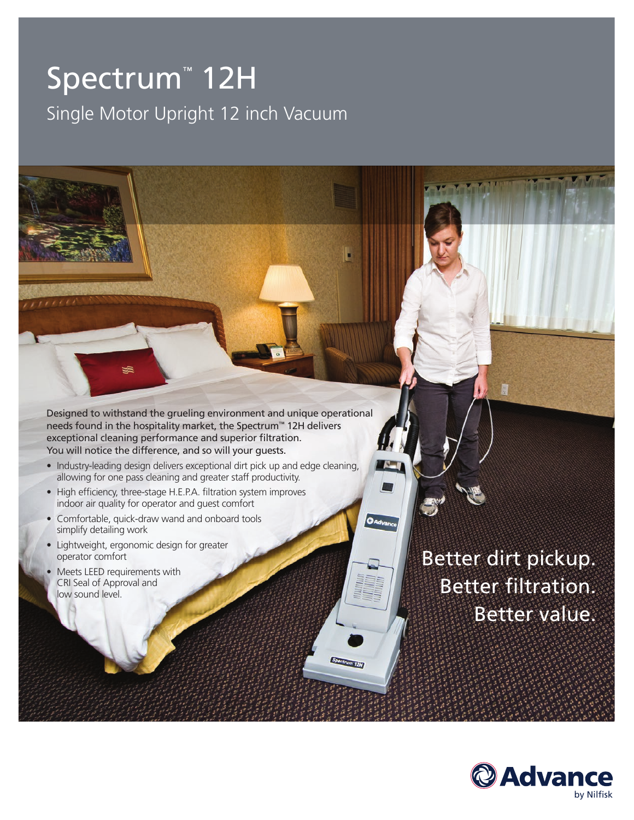# Spectrum™ 12H Single Motor Upright 12 inch Vacuum

Designed to withstand the grueling environment and unique operational needs found in the hospitality market, the Spectrum™ 12H delivers exceptional cleaning performance and superior filtration. You will notice the difference, and so will your guests.

- Industry-leading design delivers exceptional dirt pick up and edge cleaning, allowing for one pass cleaning and greater staff productivity.
- High efficiency, three-stage H.E.P.A. filtration system improves indoor air quality for operator and guest comfort
- Comfortable, quick-draw wand and onboard tools simplify detailing work
- Lightweight, ergonomic design for greater operator comfort
- Meets LEED requirements with CRI Seal of Approval and low sound level.

Better dirt pickup. Better filtration. Better value.